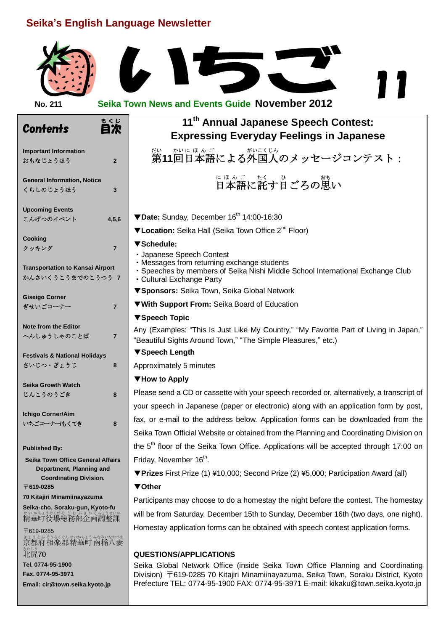## **Seika's English Language Newsletter**

| Seika's English Language Newsletter                          |                |                                                                                                                                                                          |  |  |  |
|--------------------------------------------------------------|----------------|--------------------------------------------------------------------------------------------------------------------------------------------------------------------------|--|--|--|
|                                                              |                |                                                                                                                                                                          |  |  |  |
| No. 211                                                      |                | <b>Seika Town News and Events Guide November 2012</b>                                                                                                                    |  |  |  |
| <b>Contents</b>                                              | もくじ<br>目次      | 11 <sup>th</sup> Annual Japanese Speech Contest:<br><b>Expressing Everyday Feelings in Japanese</b>                                                                      |  |  |  |
| <b>Important Information</b><br>おもなじょうほう                     | $\overline{2}$ | だい。 かいほんご しゅがいこくじん<br><b>第11回日本語による外国人のメッセージコンテスト:</b>                                                                                                                   |  |  |  |
| <b>General Information, Notice</b><br>くらしのじょうほう              | 3              | <u>にほんごとなくし</u> ない。<br>日本語に託す日ごろの思い                                                                                                                                      |  |  |  |
| <b>Upcoming Events</b>                                       |                | ▼Date: Sunday, December 16 <sup>th</sup> 14:00-16:30                                                                                                                     |  |  |  |
| こんげつのイベント                                                    | 4, 5, 6        | ▼Location: Seika Hall (Seika Town Office 2 <sup>nd</sup> Floor)                                                                                                          |  |  |  |
| Cooking                                                      |                |                                                                                                                                                                          |  |  |  |
| クッキング                                                        | $\overline{7}$ | ▼Schedule:<br>· Japanese Speech Contest                                                                                                                                  |  |  |  |
| <b>Transportation to Kansai Airport</b><br>かんさいくうこうまでのこうつう 7 |                | · Messages from returning exchange students<br>· Speeches by members of Seika Nishi Middle School International Exchange Club<br>• Cultural Exchange Party               |  |  |  |
| <b>Giseigo Corner</b>                                        |                | ▼ Sponsors: Seika Town, Seika Global Network                                                                                                                             |  |  |  |
| ぎせいごコーナー                                                     | $\overline{7}$ | ▼With Support From: Seika Board of Education                                                                                                                             |  |  |  |
|                                                              |                | ▼ Speech Topic                                                                                                                                                           |  |  |  |
| <b>Note from the Editor</b><br>へんしゅうしゃのことば                   | $\overline{7}$ | Any (Examples: "This Is Just Like My Country," "My Favorite Part of Living in Japan,"<br>"Beautiful Sights Around Town," "The Simple Pleasures," etc.)                   |  |  |  |
| <b>Festivals &amp; National Holidays</b>                     |                | ▼ Speech Length                                                                                                                                                          |  |  |  |
| さいじつ・ぎょうじ                                                    | 8              | Approximately 5 minutes                                                                                                                                                  |  |  |  |
| <b>Seika Growth Watch</b>                                    |                | ▼How to Apply                                                                                                                                                            |  |  |  |
| じんこうのうごき                                                     | 8              | Please send a CD or cassette with your speech recorded or, alternatively, a transcript of                                                                                |  |  |  |
|                                                              |                | your speech in Japanese (paper or electronic) along with an application form by post,                                                                                    |  |  |  |
| <b>Ichigo Corner/Aim</b><br>いちごコーナー/もくてき                     | 8              | fax, or e-mail to the address below. Application forms can be downloaded from the                                                                                        |  |  |  |
|                                                              |                | Seika Town Official Website or obtained from the Planning and Coordinating Division on                                                                                   |  |  |  |
| <b>Published By:</b>                                         |                | the 5 <sup>th</sup> floor of the Seika Town Office. Applications will be accepted through 17:00 on                                                                       |  |  |  |
| Seika Town Office General Affairs                            |                | Friday, November 16 <sup>th</sup> .                                                                                                                                      |  |  |  |
| Department, Planning and<br><b>Coordinating Division.</b>    |                | ▼Prizes First Prize (1) ¥10,000; Second Prize (2) ¥5,000; Participation Award (all)                                                                                      |  |  |  |
| 〒619-0285                                                    |                | ▼ Other                                                                                                                                                                  |  |  |  |
| 70 Kitajiri Minamiinayazuma                                  |                | Participants may choose to do a homestay the night before the contest. The homestay                                                                                      |  |  |  |
| Seika-cho, Soraku-gun, Kyoto-fu<br>精華町役場総務部企画調整課             |                | will be from Saturday, December 15th to Sunday, December 16th (two days, one night).                                                                                     |  |  |  |
| 〒619-0285                                                    |                | Homestay application forms can be obtained with speech contest application forms.                                                                                        |  |  |  |
| 北尻70                                                         |                |                                                                                                                                                                          |  |  |  |
| Tel. 0774-95-1900                                            |                | <b>QUESTIONS/APPLICATIONS</b><br>Seika Global Network Office (inside Seika Town Office Planning and Coordinating                                                         |  |  |  |
| Fax. 0774-95-3971<br>Email: cir@town.seika.kyoto.jp          |                | Division) 〒619-0285 70 Kitajiri Minamiinayazuma, Seika Town, Soraku District, Kyoto<br>Prefecture TEL: 0774-95-1900 FAX: 0774-95-3971 E-mail: kikaku@town.seika.kyoto.jp |  |  |  |
|                                                              |                |                                                                                                                                                                          |  |  |  |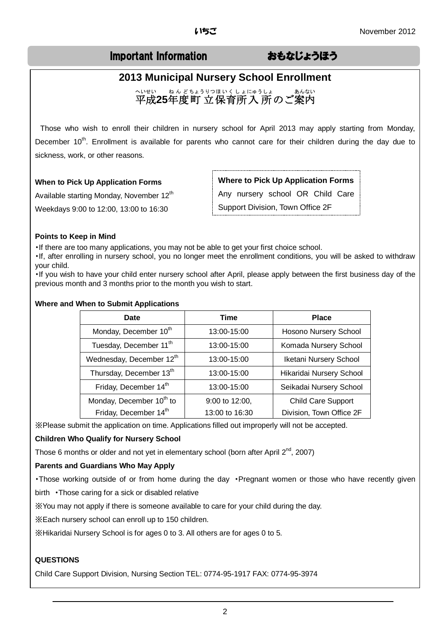## Important Information おもなじょうほう

# **2013 Municipal Nursery School Enrollment**  〜いせい ぁんどちょうりっぽいくしょにゅうしょ ぁんない<br>平成**25**年度町 立保育所入 所のご案内

Those who wish to enroll their children in nursery school for April 2013 may apply starting from Monday, December 10<sup>th</sup>. Enrollment is available for parents who cannot care for their children during the day due to sickness, work, or other reasons.

#### **When to Pick Up Application Forms**

Available starting Monday, November 12<sup>th</sup> Weekdays 9:00 to 12:00, 13:00 to 16:30

**Where to Pick Up Application Forms**

Any nursery school OR Child Care

Support Division, Town Office 2F

#### **Points to Keep in Mind**

・If there are too many applications, you may not be able to get your first choice school.

・If, after enrolling in nursery school, you no longer meet the enrollment conditions, you will be asked to withdraw your child.

・If you wish to have your child enter nursery school after April, please apply between the first business day of the previous month and 3 months prior to the month you wish to start.

#### **Where and When to Submit Applications**

| Date                                 | Time           | <b>Place</b>              |
|--------------------------------------|----------------|---------------------------|
| Monday, December 10 <sup>th</sup>    | 13:00-15:00    | Hosono Nursery School     |
| Tuesday, December 11 <sup>th</sup>   | 13:00-15:00    | Komada Nursery School     |
| Wednesday, December 12th             | 13:00-15:00    | Iketani Nursery School    |
| Thursday, December 13th              | 13:00-15:00    | Hikaridai Nursery School  |
| Friday, December 14th                | 13:00-15:00    | Seikadai Nursery School   |
| Monday, December 10 <sup>th</sup> to | 9:00 to 12:00, | <b>Child Care Support</b> |
| Friday, December 14th                | 13:00 to 16:30 | Division, Town Office 2F  |

※Please submit the application on time. Applications filled out improperly will not be accepted.

#### **Children Who Qualify for Nursery School**

Those 6 months or older and not yet in elementary school (born after April 2<sup>nd</sup>, 2007)

#### **Parents and Guardians Who May Apply**

・Those working outside of or from home during the day ・Pregnant women or those who have recently given birth ・Those caring for a sick or disabled relative

※You may not apply if there is someone available to care for your child during the day.

※Each nursery school can enroll up to 150 children.

※Hikaridai Nursery School is for ages 0 to 3. All others are for ages 0 to 5.

#### **QUESTIONS**

Child Care Support Division, Nursing Section TEL: 0774-95-1917 FAX: 0774-95-3974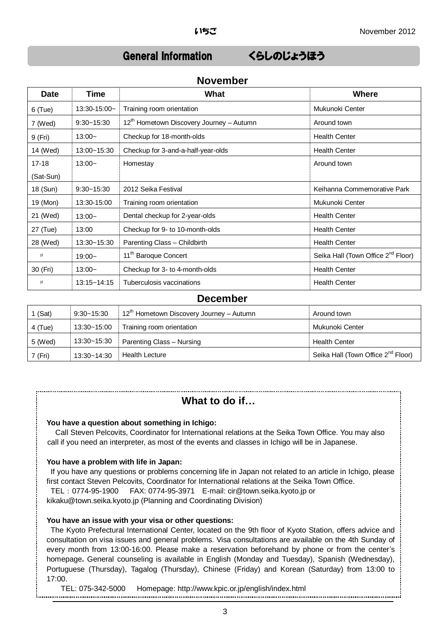## General Information くらしのじょうほう

| <b>Date</b> | <b>Time</b>       | What                                                 | <b>Where</b>                                   |
|-------------|-------------------|------------------------------------------------------|------------------------------------------------|
| $6$ (Tue)   | $13:30 - 15:00 -$ | Training room orientation                            | Mukunoki Center                                |
| 7 (Wed)     | $9:30 - 15:30$    | 12 <sup>th</sup> Hometown Discovery Journey - Autumn | Around town                                    |
| 9 (Fri)     | $13:00-$          | Checkup for 18-month-olds                            | <b>Health Center</b>                           |
| 14 (Wed)    | 13:00~15:30       | Checkup for 3-and-a-half-year-olds                   | <b>Health Center</b>                           |
| $17 - 18$   | $13:00-$          | Homestay                                             | Around town                                    |
| (Sat-Sun)   |                   |                                                      |                                                |
| 18 (Sun)    | $9:30 - 15:30$    | 2012 Seika Festival                                  | Keihanna Commemorative Park                    |
| 19 (Mon)    | 13:30-15:00       | Training room orientation                            | Mukunoki Center                                |
| 21 (Wed)    | $13:00-$          | Dental checkup for 2-year-olds                       | <b>Health Center</b>                           |
| 27 (Tue)    | 13:00             | Checkup for 9- to 10-month-olds                      | <b>Health Center</b>                           |
| 28 (Wed)    | 13:30~15:30       | Parenting Class - Childbirth                         | <b>Health Center</b>                           |
| IJ          | $19:00-$          | 11 <sup>th</sup> Baroque Concert                     | Seika Hall (Town Office 2 <sup>nd</sup> Floor) |
| 30 (Fri)    | $13:00-$          | Checkup for 3- to 4-month-olds                       | <b>Health Center</b>                           |
| IJ          | 13:15~14:15       | Tuberculosis vaccinations                            | <b>Health Center</b>                           |

#### **November**

#### **December**

| 1 $(Sat)$ | 9:30~15:30  | , 12 <sup>th</sup> Hometown Discovery Journey – Autumn | Around town                                    |
|-----------|-------------|--------------------------------------------------------|------------------------------------------------|
| 4 (Tue)   | 13:30~15:00 | Training room orientation                              | Mukunoki Center                                |
| 5 (Wed)   | 13:30~15:30 | Parenting Class - Nursing                              | <b>Health Center</b>                           |
| 7 (Fri)   | 13:30~14:30 | <b>Health Lecture</b>                                  | Seika Hall (Town Office 2 <sup>nd</sup> Floor) |

### **What to do if…**

#### **You have a question about something in Ichigo:**

Call Steven Pelcovits, Coordinator for International relations at the Seika Town Office. You may also call if you need an interpreter, as most of the events and classes in Ichigo will be in Japanese.

#### **You have a problem with life in Japan:**

If you have any questions or problems concerning life in Japan not related to an article in Ichigo, please first contact Steven Pelcovits, Coordinator for International relations at the Seika Town Office. TEL:0774-95-1900 FAX: 0774-95-3971 E-mail: cir@town.seika.kyoto.jp or kikaku@town.seika.kyoto.jp (Planning and Coordinating Division)

#### **You have an issue with your visa or other questions:**

The Kyoto Prefectural International Center, located on the 9th floor of Kyoto Station, offers advice and consultation on visa issues and general problems. Visa consultations are available on the 4th Sunday of every month from 13:00-16:00. Please make a reservation beforehand by phone or from the center's homepage**.** General counseling is available in English (Monday and Tuesday), Spanish (Wednesday), Portuguese (Thursday), Tagalog (Thursday), Chinese (Friday) and Korean (Saturday) from 13:00 to 17:00.

#### TEL: 075-342-5000 Homepage: http://www.kpic.or.jp/english/index.html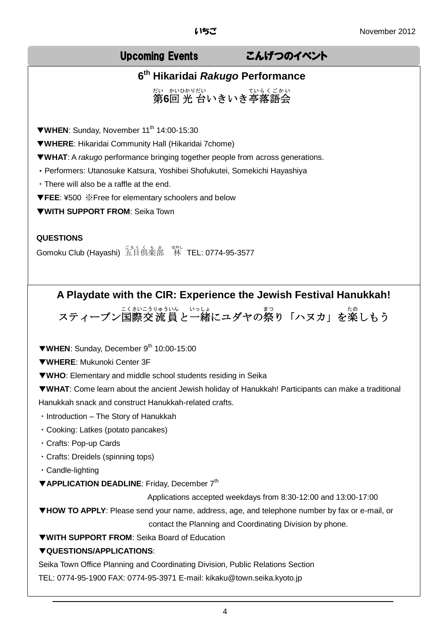## Upcoming Events こんげつのイベント

## **6 th Hikaridai** *Rakugo* **Performance**

第 だい **6**回 かい 光 ひかり 台 だい いきいき亭 てい 落語会 ら く ご か い

▼**WHEN:** Sunday, November 11<sup>th</sup> 14:00-15:30

▼**WHERE**: Hikaridai Community Hall (Hikaridai 7chome)

▼**WHAT**: A *rakugo* performance bringing together people from across generations.

・Performers: Utanosuke Katsura, Yoshibei Shofukutei, Somekichi Hayashiya

・There will also be a raffle at the end.

▼**FEE**: ¥500 ※Free for elementary schoolers and below

▼**WITH SUPPORT FROM**: Seika Town

#### **QUESTIONS**

Gomoku Club (Hayashi) 五自俱楽部 <sup>珠J</sup> TEL: 0774-95-3577

# **A Playdate with the CIR: Experience the Jewish Festival Hanukkah!**

スティーブン国際交流員と一緒にユダヤの祭り「ハヌカ」を楽しもう

▼**WHEN**: Sunday, December 9th 10:00-15:00

▼**WHERE**: Mukunoki Center 3F

▼**WHO**: Elementary and middle school students residing in Seika

▼**WHAT**: Come learn about the ancient Jewish holiday of Hanukkah! Participants can make a traditional Hanukkah snack and construct Hanukkah-related crafts.

・Introduction – The Story of Hanukkah

・Cooking: Latkes (potato pancakes)

・Crafts: Pop-up Cards

・Crafts: Dreidels (spinning tops)

・Candle-lighting

▼**APPLICATION DEADLINE**: Friday, December 7th

Applications accepted weekdays from 8:30-12:00 and 13:00-17:00

▼**HOW TO APPLY**: Please send your name, address, age, and telephone number by fax or e-mail, or

contact the Planning and Coordinating Division by phone.

▼**WITH SUPPORT FROM**: Seika Board of Education

#### ▼**QUESTIONS/APPLICATIONS**:

Seika Town Office Planning and Coordinating Division, Public Relations Section TEL: 0774-95-1900 FAX: 0774-95-3971 E-mail: kikaku@town.seika.kyoto.jp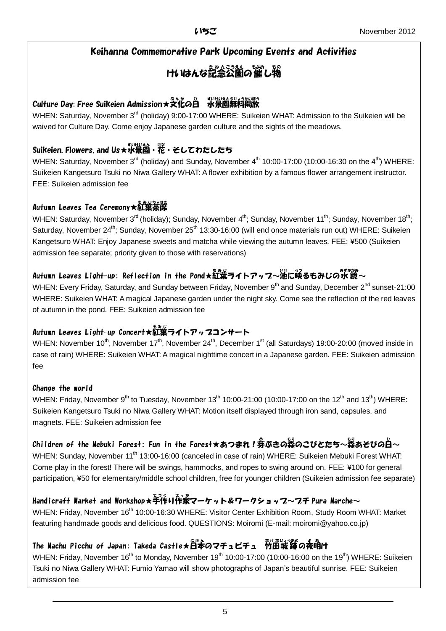### Keihanna Commemorative Park Upcoming Events and Activities

#### けいはんな記念公園の催し物 もの

## Culture Day: Free Suikeien Admission★受化のa 张崇薗無料開放

WHEN: Saturday, November 3<sup>rd</sup> (holiday) 9:00-17:00 WHERE: Suikeien WHAT: Admission to the Suikeien will be waived for Culture Day. Come enjoy Japanese garden culture and the sights of the meadows.

## Suikeien, Flowers, and Us★水景園・花・そしてわたしたち

WHEN: Saturday, November 3<sup>rd</sup> (holiday) and Sunday, November 4<sup>th</sup> 10:00-17:00 (10:00-16:30 on the 4<sup>th</sup>) WHERE: Suikeien Kangetsuro Tsuki no Niwa Gallery WHAT: A flower exhibition by a famous flower arrangement instructor. FEE: Suikeien admission fee

## 。。。。。。<br>Autumn Leaves Tea Ceremony★紅葉茶席

WHEN: Saturday, November 3<sup>rd</sup> (holiday); Sunday, November 4<sup>th</sup>; Sunday, November 11<sup>th</sup>; Sunday, November 18<sup>th</sup>; Saturday, November 24<sup>th</sup>; Sunday, November 25<sup>th</sup> 13:30-16:00 (will end once materials run out) WHERE: Suikeien Kangetsuro WHAT: Enjoy Japanese sweets and matcha while viewing the autumn leaves. FEE: ¥500 (Suikeien admission fee separate; priority given to those with reservations)

## Autumn Leaves Light-up: Reflection in the Pond★紅葉ライトアッフ~池に亟るもみじの水鏡~

WHEN: Every Friday, Saturday, and Sunday between Friday, November 9<sup>th</sup> and Sunday, December 2<sup>nd</sup> sunset-21:00 WHERE: Suikeien WHAT: A magical Japanese garden under the night sky. Come see the reflection of the red leaves of autumn in the pond. FEE: Suikeien admission fee

## Autumn Leaves Light-up Concert★紅葉ライトアッフコンサート

WHEN: November 10<sup>th</sup>, November 17<sup>th</sup>, November 24<sup>th</sup>, December 1<sup>st</sup> (all Saturdays) 19:00-20:00 (moved inside in case of rain) WHERE: Suikeien WHAT: A magical nighttime concert in a Japanese garden. FEE: Suikeien admission fee

### Change the world

WHEN: Friday, November 9<sup>th</sup> to Tuesday, November 13<sup>th</sup> 10:00-21:00 (10:00-17:00 on the 12<sup>th</sup> and 13<sup>th</sup>) WHERE: Suikeien Kangetsuro Tsuki no Niwa Gallery WHAT: Motion itself displayed through iron sand, capsules, and magnets. FEE: Suikeien admission fee

## Children of the Mebuki Forest: Fun in the Forest★あつまれ!券ぶきの蒸のこびとたち~蒸あそびの白~

WHEN: Sunday, November 11<sup>th</sup> 13:00-16:00 (canceled in case of rain) WHERE: Suikeien Mebuki Forest WHAT: Come play in the forest! There will be swings, hammocks, and ropes to swing around on. FEE: ¥100 for general participation, ¥50 for elementary/middle school children, free for younger children (Suikeien admission fee separate)

## Handicraft Market and Workshop★手作り作家マーケット&ワークショッフ~フチ Pura Marche~

WHEN: Friday, November 16<sup>th</sup> 10:00-16:30 WHERE: Visitor Center Exhibition Room, Study Room WHAT: Market featuring handmade goods and delicious food. QUESTIONS: Moiromi (E-mail: moiromi@yahoo.co.jp)

## The Machu Picchu of Japan: Takeda Castle★日本のマチュピチュ 竹田城節の夜明け

WHEN: Friday, November 16<sup>th</sup> to Monday, November 19<sup>th</sup> 10:00-17:00 (10:00-16:00 on the 19<sup>th</sup>) WHERE: Suikeien Tsuki no Niwa Gallery WHAT: Fumio Yamao will show photographs of Japan's beautiful sunrise. FEE: Suikeien admission fee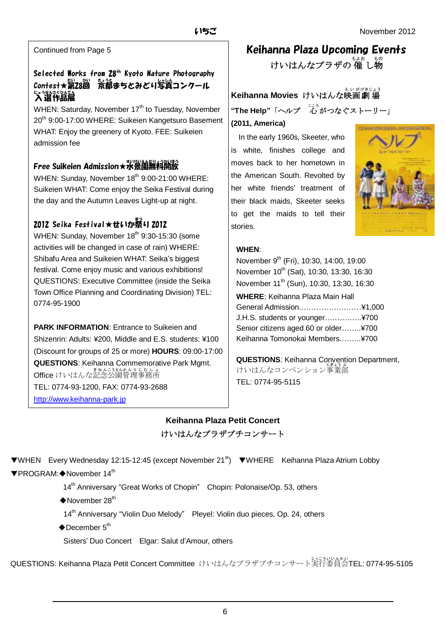Continued from Page 5

## Selected Works from 28<sup>th</sup> Kyoto Nature Photography Contest★第28回 荒郤まちとみどり写賞コンクール ☆ 逃於治展 入選作品展

WHEN: Saturday, November 17<sup>th</sup> to Tuesday, November 20<sup>th</sup> 9:00-17:00 WHERE: Suikeien Kangetsuro Basement WHAT: Enjoy the greenery of Kyoto. FEE: Suikeien admission fee

### Free Suikeien Admission★水景園無料開放

WHEN: Sunday, November 18<sup>th</sup> 9:00-21:00 WHERE: Suikeien WHAT: Come enjoy the Seika Festival during the day and the Autumn Leaves Light-up at night.

## 2012 Seika Festival★せいか祭り 2012

WHEN: Sunday, November 18<sup>th</sup> 9:30-15:30 (some activities will be changed in case of rain) WHERE: Shibafu Area and Suikeien WHAT: Seika's biggest festival. Come enjoy music and various exhibitions! QUESTIONS: Executive Committee (inside the Seika Town Office Planning and Coordinating Division) TEL: 0774-95-1900

**PARK INFORMATION**: Entrance to Suikeien and Shizenrin: Adults: ¥200, Middle and E.S. students: ¥100 (Discount for groups of 25 or more) **HOURS**: 09:00-17:00 **QUESTIONS**: Keihanna Commemorative Park Mgmt. **Office** けいはんな記念公園管理事務所 TEL: 0774-93-1200, FAX: 0774-93-2688 [http://www.keihanna-park.jp](http://www.keihanna-park.jp/)

## Keihanna Plaza Upcoming Events

けいはんなプラザの 催 し物

## **Keihanna Movies** けいはんな映画劇場 **"The Help"**「ヘルプ 心。がつなぐストーリー」 **(2011, America)**

 In the early 1960s, Skeeter, who is white, finishes college and moves back to her hometown in the American South. Revolted by her white friends' treatment of their black maids, Skeeter seeks to get the maids to tell their stories.



#### **WHEN**:

November 9<sup>th</sup> (Fri), 10:30, 14:00, 19:00 November 10<sup>th</sup> (Sat), 10:30, 13:30, 16:30 November 11<sup>th</sup> (Sun), 10:30, 13:30, 16:30 **WHERE**: Keihanna Plaza Main Hall General Admission.……………………¥1,000 J.H.S. students or younger….………..¥700 Senior citizens aged 60 or older……..¥700 Keihanna Tomonokai Members.……..¥700

**QUESTIONS**: Keihanna Convention Department, けいはんなコンベンション事業部 TEL: 0774-95-5115

## **Keihanna Plaza Petit Concert** けいはんなプラザプチコンサート

▼WHEN Every Wednesday 12:15-12:45 (except November 21st) ▼WHERE Keihanna Plaza Atrium Lobby ▼PROGRAM:◆November 14th

14<sup>th</sup> Anniversary "Great Works of Chopin" Chopin: Polonaise/Op. 53, others

 $\blacklozenge$ November 28<sup>th</sup>

14<sup>th</sup> Anniversary "Violin Duo Melody" Pleyel: Violin duo pieces, Op. 24, others

 $\blacklozenge$ December  $5^{\text{th}}$ 

Sisters' Duo Concert Elgar: Salut d'Amour, others

QUESTIONS: Keihanna Plaza Petit Concert Committee けいはんなプラザプチコンサート実行 じっこう 委員会 いいんかい TEL: 0774-95-5105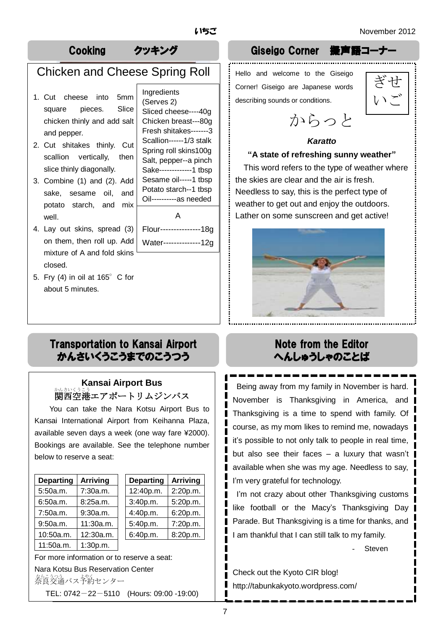## Chicken and Cheese Spring Roll

- 1. Cut cheese into 5mm square pieces. Slice chicken thinly and add salt and pepper.
- scallion 2. Cut shitakes thinly. Cut vertically, then slice thinly diagonally.
- 3. Combine (1) and (2). Add sake, sesame oil, and potato starch, and mix well.
- 4. Lay out skins, spread (3) on them, then roll up. Add mixture of A and fold skins closed.
- 5. Fry (4) in oil at  $165^\circ$  C for about 5 minutes.

Ingredients (Serves 2) Sliced cheese----40g Chicken breast---80g Fresh shitakes-------3 Scallion------1/3 stalk Spring roll skins100g Salt, pepper--a pinch Sake-------------1 tbsp Sesame oil-----1 tbsp Potato starch--1 tbsp Oil----------as needed

A Flour---------------18g

Water--------------12g

## Cooking クッキング Giseigo Corner 擬声語コーナー

Hello and welcome to the Giseigo Corner! Giseigo are Japanese words describing sounds or conditions.



からっと

#### *Karatto*

#### **"A state of refreshing sunny weather"**

This word refers to the type of weather where the skies are clear and the air is fresh. Needless to say, this is the perfect type of weather to get out and enjoy the outdoors. Lather on some sunscreen and get active!



## Transportation to Kansai Airport かんさいくうこうまでのこうつう

## **Kansai Airport Bus** 。<br>関西空港エアポートリムジンバス

You can take the Nara Kotsu Airport Bus to Kansai International Airport from Keihanna Plaza, available seven days a week (one way fare ¥2000). Bookings are available. See the telephone number below to reserve a seat:

| <b>Departing</b> | <b>Arriving</b> |
|------------------|-----------------|
| 5:50a.m.         | 7:30a.m.        |
| 6:50a.m.         | 8:25a.m.        |
| 7:50a.m.         | 9:30a.m.        |
| 9:50a.m.         | 11:30a.m.       |
| 10:50a.m.        | 12:30a.m.       |
| 11:50a.m.        | 1:30p.m.        |

| <b>Departing</b> | <b>Arriving</b> | <b>Departing</b> | <b>Arriving</b> |
|------------------|-----------------|------------------|-----------------|
| 5:50a.m.         | 7:30a.m.        | 12:40p.m.        | 2:20p.m.        |
| 6:50a.m.         | 8:25a.m.        | 3:40p.m.         | 5:20p.m.        |
| 7:50a.m.         | 9:30a.m.        | 4:40p.m.         | 6:20p.m.        |
| 9:50a.m.         | 11:30a.m.       | 5:40p.m.         | 7:20p.m.        |
| 10:50a.m.        | 12:30a.m.       | 6:40p.m.         | 8:20p.m.        |
|                  |                 |                  |                 |

For more information or to reserve a seat: Nara Kotsu Bus Reservation Center をにかえ<br>奈良交通バス予約センター

TEL: 0742-22-5110 (Hours: 09:00 -19:00)

## Note from the Editor へんしゅうしゃのことば

Being away from my family in November is hard. November is Thanksgiving in America, and Thanksgiving is a time to spend with family. Of course, as my mom likes to remind me, nowadays it's possible to not only talk to people in real time, but also see their faces – a luxury that wasn't available when she was my age. Needless to say, I'm very grateful for technology.

I'm not crazy about other Thanksgiving customs like football or the Macy's Thanksgiving Day Parade. But Thanksgiving is a time for thanks, and I am thankful that I can still talk to my family.

**Steven** 

Check out the Kyoto CIR blog! http://tabunkakyoto.wordpress.com/